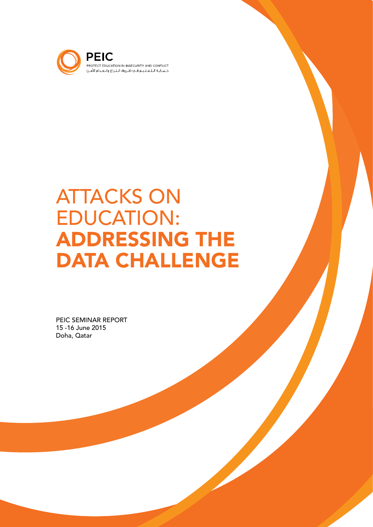

# **ATTACKS ON**  :EDUCATION **ADDRESSING THE DATA CHALLENGE**

PEIC SEMINAR REPORT 15 -16 June 2015 Doha, Qatar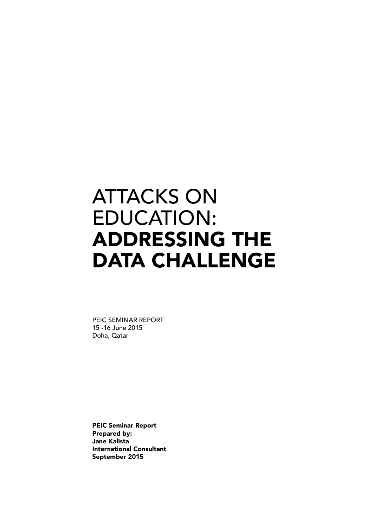# **ATTACKS ON**  :EDUCATION **ADDRESSING THE DATA CHALLENGE**

PEIC SEMINAR REPORT 15 -16 June 2015 Doha, Qatar

**PEIC Seminar Report** Prepared by: Jane Kalista **International Consultant** 2015 September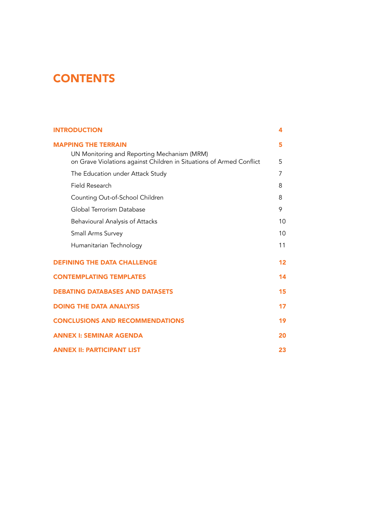# **CONTENTS**

| <b>INTRODUCTION</b>                                                                                                 | 4  |  |
|---------------------------------------------------------------------------------------------------------------------|----|--|
| <b>MAPPING THE TERRAIN</b>                                                                                          | 5  |  |
| UN Monitoring and Reporting Mechanism (MRM)<br>on Grave Violations against Children in Situations of Armed Conflict | 5  |  |
| The Education under Attack Study                                                                                    | 7  |  |
| <b>Field Research</b>                                                                                               | 8  |  |
| Counting Out-of-School Children                                                                                     | 8  |  |
| Global Terrorism Database                                                                                           | 9  |  |
| <b>Behavioural Analysis of Attacks</b>                                                                              | 10 |  |
| Small Arms Survey                                                                                                   | 10 |  |
| Humanitarian Technology                                                                                             | 11 |  |
| <b>DEFINING THE DATA CHALLENGE</b>                                                                                  | 12 |  |
| <b>CONTEMPLATING TEMPLATES</b>                                                                                      | 14 |  |
| <b>DEBATING DATABASES AND DATASETS</b>                                                                              | 15 |  |
| <b>DOING THE DATA ANALYSIS</b>                                                                                      | 17 |  |
| <b>CONCLUSIONS AND RECOMMENDATIONS</b>                                                                              | 19 |  |
| <b>ANNEX I: SEMINAR AGENDA</b>                                                                                      |    |  |
| <b>ANNEX II: PARTICIPANT LIST</b>                                                                                   |    |  |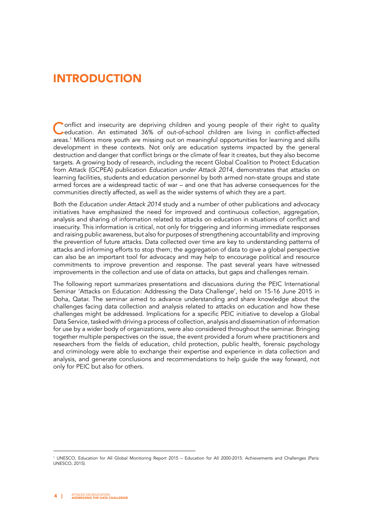# INTRODUCTION

Conflict and insecurity are depriving children and young people of their right to quality<br>education. An estimated 36% of out-of-school-children are living in conflict-affected areas.<sup>1</sup> Millions more youth are missing out on meaningful opportunities for learning and skills development in these contexts. Not only are education systems impacted by the general destruction and danger that conflict brings or the climate of fear it creates, but they also become targets. A growing body of research, including the recent Global Coalition to Protect Education from Attack (GCPEA) publication *Education under Attack 2014*, demonstrates that attacks on learning facilities, students and education personnel by both armed non-state groups and state armed forces are a widespread tactic of war – and one that has adverse consequences for the communities directly affected, as well as the wider systems of which they are a part.

Both the Education under Attack 2014 study and a number of other publications and advocacy initiatives have emphasized the need for improved and continuous collection, aggregation, analysis and sharing of information related to attacks on education in situations of conflict and insecurity. This information is critical, not only for triggering and informing immediate responses and raising public awareness, but also for purposes of strengthening accountability and improving the prevention of future attacks. Data collected over time are key to understanding patterns of attacks and informing efforts to stop them; the aggregation of data to give a global perspective can also be an important tool for advocacy and may help to encourage political and resource commitments to improve prevention and response. The past several years have witnessed improvements in the collection and use of data on attacks, but gaps and challenges remain.

The following report summarizes presentations and discussions during the PEIC International Seminar 'Attacks on Education: Addressing the Data Challenge', held on 15-16 June 2015 in Doha, Qatar. The seminar aimed to advance understanding and share knowledge about the challenges facing data collection and analysis related to attacks on education and how these challenges might be addressed. Implications for a specific PEIC initiative to develop a Global Data Service, tasked with driving a process of collection, analysis and dissemination of information for use by a wider body of organizations, were also considered throughout the seminar. Bringing together multiple perspectives on the issue, the event provided a forum where practitioners and researchers from the fields of education, child protection, public health, forensic psychology and criminology were able to exchange their expertise and experience in data collection and analysis, and generate conclusions and recommendations to help guide the way forward, not only for PEIC but also for others.

<sup>1</sup> UNESCO, Education for All Global Monitoring Report 2015 – Education for All 2000-2015: Achievements and Challenges (Paris: UNESCO, 2015).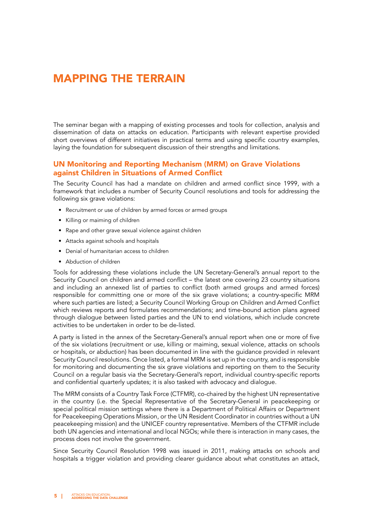### **MAPPING THE TERRAIN**

The seminar began with a mapping of existing processes and tools for collection, analysis and dissemination of data on attacks on education. Participants with relevant expertise provided short overviews of different initiatives in practical terms and using specific country examples, laying the foundation for subsequent discussion of their strengths and limitations.

#### UN Monitoring and Reporting Mechanism (MRM) on Grave Violations against Children in Situations of Armed Conflict

The Security Council has had a mandate on children and armed conflict since 1999, with a framework that includes a number of Security Council resolutions and tools for addressing the following six grave violations:

- Recruitment or use of children by armed forces or armed groups
- Killing or maiming of children
- Rape and other grave sexual violence against children
- Attacks against schools and hospitals
- Denial of humanitarian access to children
- Abduction of children

Tools for addressing these violations include the UN Secretary-General's annual report to the Security Council on children and armed conflict – the latest one covering 23 country situations and including an annexed list of parties to conflict (both armed groups and armed forces) responsible for committing one or more of the six grave violations; a country-specific MRM where such parties are listed; a Security Council Working Group on Children and Armed Conflict which reviews reports and formulates recommendations; and time-bound action plans agreed through dialogue between listed parties and the UN to end violations, which include concrete activities to be undertaken in order to be de-listed.

A party is listed in the annex of the Secretary-General's annual report when one or more of five of the six violations (recruitment or use, killing or maiming, sexual violence, attacks on schools or hospitals, or abduction) has been documented in line with the guidance provided in relevant Security Council resolutions. Once listed, a formal MRM is set up in the country, and is responsible for monitoring and documenting the six grave violations and reporting on them to the Security Council on a regular basis via the Secretary-General's report, individual country-specific reports and confidential quarterly updates; it is also tasked with advocacy and dialogue.

The MRM consists of a Country Task Force (CTFMR), co-chaired by the highest UN representative in the country (i.e. the Special Representative of the Secretary-General in peacekeeping or special political mission settings where there is a Department of Political Affairs or Department for Peacekeeping Operations Mission, or the UN Resident Coordinator in countries without a UN peacekeeping mission) and the UNICEF country representative. Members of the CTFMR include both UN agencies and international and local NGOs; while there is interaction in many cases, the process does not involve the government.

Since Security Council Resolution 1998 was issued in 2011, making attacks on schools and hospitals a trigger violation and providing clearer guidance about what constitutes an attack,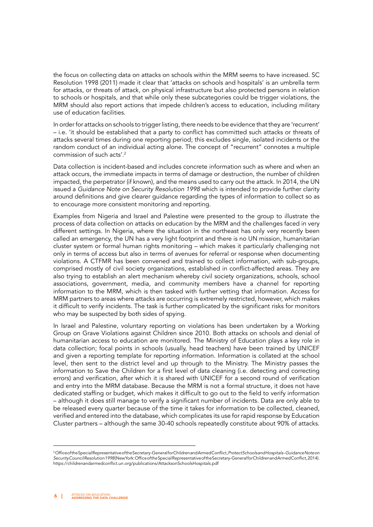the focus on collecting data on attacks on schools within the MRM seems to have increased. SC Resolution 1998 (2011) made it clear that 'attacks on schools and hospitals' is an umbrella term for attacks, or threats of attack, on physical infrastructure but also protected persons in relation to schools or hospitals, and that while only these subcategories could be trigger violations, the MRM should also report actions that impede children's access to education, including military use of education facilities.

In order for attacks on schools to trigger listing, there needs to be evidence that they are 'recurrent' - i.e. 'it should be established that a party to conflict has committed such attacks or threats of attacks several times during one reporting period; this excludes single, isolated incidents or the random conduct of an individual acting alone. The concept of "recurrent" connotes a multiple commission of such acts'.<sup>2</sup>

Data collection is incident-based and includes concrete information such as where and when an attack occurs, the immediate impacts in terms of damage or destruction, the number of children impacted, the perpetrator (if known), and the means used to carry out the attack. In 2014, the UN issued a Guidance Note on Security Resolution 1998 which is intended to provide further clarity around definitions and give clearer quidance regarding the types of information to collect so as to encourage more consistent monitoring and reporting.

Examples from Nigeria and Israel and Palestine were presented to the group to illustrate the process of data collection on attacks on education by the MRM and the challenges faced in very different settings. In Nigeria, where the situation in the northeast has only very recently been called an emergency, the UN has a very light footprint and there is no UN mission, humanitarian cluster system or formal human rights monitoring – which makes it particularly challenging not only in terms of access but also in terms of avenues for referral or response when documenting violations. A CTFMR has been convened and trained to collect information, with sub-groups, comprised mostly of civil society organizations, established in conflict-affected areas. They are also trying to establish an alert mechanism whereby civil society organizations, schools, school associations, government, media, and community members have a channel for reporting information to the MRM, which is then tasked with further vetting that information. Access for MRM partners to areas where attacks are occurring is extremely restricted, however, which makes it difficult to verify incidents. The task is further complicated by the significant risks for monitors who may be suspected by both sides of spying.

In Israel and Palestine, voluntary reporting on violations has been undertaken by a Working Group on Grave Violations against Children since 2010. Both attacks on schools and denial of humanitarian access to education are monitored. The Ministry of Education plays a key role in data collection; focal points in schools (usually, head teachers) have been trained by UNICEF and given a reporting template for reporting information. Information is collated at the school level, then sent to the district level and up through to the Ministry. The Ministry passes the information to Save the Children for a first level of data cleaning (i.e. detecting and correcting errors) and verification, after which it is shared with UNICEF for a second round of verification and entry into the MRM database. Because the MRM is not a formal structure, it does not have dedicated staffing or budget, which makes it difficult to go out to the field to verify information - although it does still manage to verify a significant number of incidents. Data are only able to be released every quarter because of the time it takes for information to be collected, cleaned, verified and entered into the database, which complicates its use for rapid response by Education Cluster partners – although the same 30-40 schools repeatedly constitute about 90% of attacks.

<sup>&</sup>lt;sup>2</sup> Office of the Special Representative of the Secretary-General for Children and Armed Conflict, Protect Schools and Hospitals-Guidance Note on Security Council Resolution 1998 (New York: Office of the Special Representative of the Secretary-General for Children and Armed Conflict, 2014). https://childrenandarmedconflict.un.org/publications/AttacksonSchoolsHospitals.pdf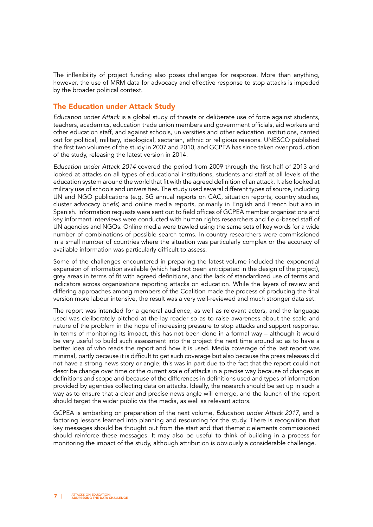The inflexibility of project funding also poses challenges for response. More than anything, however, the use of MRM data for advocacy and effective response to stop attacks is impeded by the broader political context.

#### The Education under Attack Study

Education under Attack is a global study of threats or deliberate use of force against students, teachers, academics, education trade union members and government officials, aid workers and other education staff, and against schools, universities and other education institutions, carried out for political, military, ideological, sectarian, ethnic or religious reasons. UNESCO published the first two volumes of the study in 2007 and 2010, and GCPEA has since taken over production of the study, releasing the latest version in 2014.

Education under Attack 2014 covered the period from 2009 through the first half of 2013 and looked at attacks on all types of educational institutions, students and staff at all levels of the education system around the world that fit with the agreed definition of an attack. It also looked at military use of schools and universities. The study used several different types of source, including UN and NGO publications (e.g. SG annual reports on CAC, situation reports, country studies, cluster advocacy briefs) and online media reports, primarily in English and French but also in Spanish. Information requests were sent out to field offices of GCPEA member organizations and key informant interviews were conducted with human rights researchers and field-based staff of UN agencies and NGOs. Online media were trawled using the same sets of key words for a wide number of combinations of possible search terms. In-country researchers were commissioned in a small number of countries where the situation was particularly complex or the accuracy of available information was particularly difficult to assess.

Some of the challenges encountered in preparing the latest volume included the exponential expansion of information available (which had not been anticipated in the design of the project), grey areas in terms of fit with agreed definitions, and the lack of standardized use of terms and indicators across organizations reporting attacks on education. While the layers of review and differing approaches among members of the Coalition made the process of producing the final version more labour intensive, the result was a very well-reviewed and much stronger data set.

The report was intended for a general audience, as well as relevant actors, and the language used was deliberately pitched at the lay reader so as to raise awareness about the scale and nature of the problem in the hope of increasing pressure to stop attacks and support response. In terms of monitoring its impact, this has not been done in a formal way – although it would be very useful to build such assessment into the project the next time around so as to have a better idea of who reads the report and how it is used. Media coverage of the last report was minimal, partly because it is difficult to get such coverage but also because the press releases did not have a strong news story or angle; this was in part due to the fact that the report could not describe change over time or the current scale of attacks in a precise way because of changes in definitions and scope and because of the differences in definitions used and types of information provided by agencies collecting data on attacks. Ideally, the research should be set up in such a way as to ensure that a clear and precise news angle will emerge, and the launch of the report should target the wider public via the media, as well as relevant actors.

GCPEA is embarking on preparation of the next volume, Education under Attack 2017, and is factoring lessons learned into planning and resourcing for the study. There is recognition that key messages should be thought out from the start and that thematic elements commissioned should reinforce these messages. It may also be useful to think of building in a process for monitoring the impact of the study, although attribution is obviously a considerable challenge.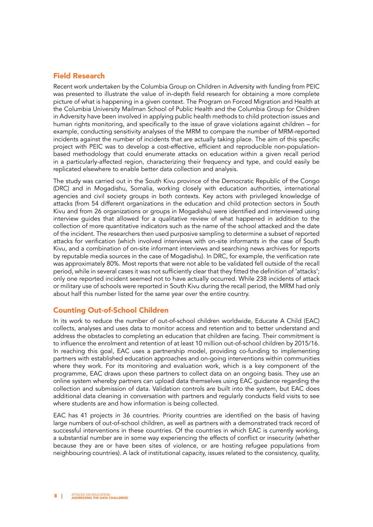### **Field Research**

Recent work undertaken by the Columbia Group on Children in Adversity with funding from PEIC was presented to illustrate the value of in-depth-field research for obtaining a more complete picture of what is happening in a given context. The Program on Forced Migration and Health at the Columbia University Mailman School of Public Health and the Columbia Group for Children in Adversity have been involved in applying public health methods to child protection issues and human rights monitoring, and specifically to the issue of grave violations against children – for example, conducting sensitivity analyses of the MRM to compare the number of MRM-reported incidents against the number of incidents that are actually taking place. The aim of this specific based methodology that could enumerate attacks on education within a given recall period project with PEIC was to develop a cost-effective, efficient and reproducible non-populationin a particularly-affected region, characterizing their frequency and type, and could easily be replicated elsewhere to enable better data collection and analysis.

The study was carried out in the South Kivu province of the Democratic Republic of the Congo (DRC) and in Mogadishu, Somalia, working closely with education authorities, international agencies and civil society groups in both contexts. Key actors with privileged knowledge of attacks (from 54 different organizations in the education and child protection sectors in South Kivu and from 26 organizations or groups in Mogadishu) were identified and interviewed using interview guides that allowed for a qualitative review of what happened in addition to the collection of more quantitative indicators such as the name of the school attacked and the date of the incident. The researchers then used purposive sampling to determine a subset of reported attacks for verification (which involved interviews with on-site informants in the case of South Kivu, and a combination of on-site informant interviews and searching news archives for reports by reputable media sources in the case of Mogadishu). In DRC, for example, the verification rate was approximately 80%. Most reports that were not able to be validated fell outside of the recall period, while in several cases it was not sufficiently clear that they fitted the definition of 'attacks'; only one reported incident seemed not to have actually occurred. While 238 incidents of attack or military use of schools were reported in South Kivu during the recall period, the MRM had only about half this number listed for the same year over the entire country.

#### **Counting Out-of-School Children**

In its work to reduce the number of out-of-school children worldwide. Educate A Child (EAC) collects, analyses and uses data to monitor access and retention and to better understand and address the obstacles to completing an education that children are facing. Their commitment is to influence the enrolment and retention of at least 10 million out-of-school children by 2015/16. In reaching this goal, EAC uses a partnership model, providing co-funding to implementing partners with established education approaches and on-going interventions within communities where they work. For its monitoring and evaluation work, which is a key component of the programme, EAC draws upon these partners to collect data on an ongoing basis. They use an online system whereby partners can upload data themselves using EAC quidance regarding the collection and submission of data. Validation controls are built into the system, but EAC does additional data cleaning in conversation with partners and regularly conducts field visits to see where students are and how information is being collected.

EAC has 41 projects in 36 countries. Priority countries are identified on the basis of having large numbers of out-of-school children, as well as partners with a demonstrated track record of successful interventions in these countries. Of the countries in which EAC is currently working, a substantial number are in some way experiencing the effects of conflict or insecurity (whether because they are or have been sites of violence, or are hosting refugee populations from neighbouring countries). A lack of institutional capacity, issues related to the consistency, quality,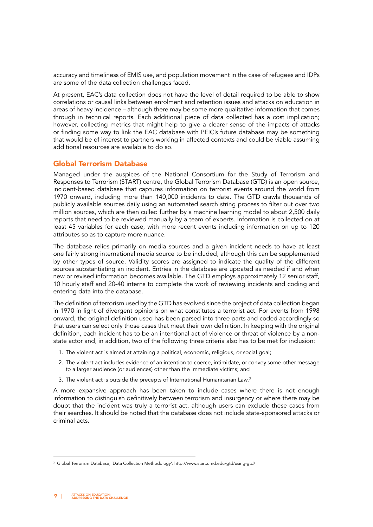accuracy and timeliness of EMIS use, and population movement in the case of refugees and IDPs are some of the data collection challenges faced.

At present, EAC's data collection does not have the level of detail required to be able to show correlations or causal links between enrolment and retention issues and attacks on education in areas of heavy incidence – although there may be some more qualitative information that comes through in technical reports. Each additional piece of data collected has a cost implication; however, collecting metrics that might help to give a clearer sense of the impacts of attacks or finding some way to link the EAC database with PEIC's future database may be something that would be of interest to partners working in affected contexts and could be viable assuming additional resources are available to do so.

#### Global Terrorism Database

Managed under the auspices of the National Consortium for the Study of Terrorism and Responses to Terrorism (START) centre, the Global Terrorism Database (GTD) is an open source, incident-based database that captures information on terrorist events around the world from 1970 onward, including more than 140,000 incidents to date. The GTD crawls thousands of publicly available sources daily using an automated search string process to filter out over two million sources, which are then culled further by a machine learning model to about 2,500 daily reports that need to be reviewed manually by a team of experts. Information is collected on at least 45 variables for each case, with more recent events including information on up to 120 attributes so as to capture more nuance.

The database relies primarily on media sources and a given incident needs to have at least one fairly strong international media source to be included, although this can be supplemented by other types of source. Validity scores are assigned to indicate the quality of the different sources substantiating an incident. Entries in the database are updated as needed if and when new or revised information becomes available. The GTD employs approximately 12 senior staff, 10 hourly staff and 20-40 interns to complete the work of reviewing incidents and coding and entering data into the database.

The definition of terrorism used by the GTD has evolved since the project of data collection began in 1970 in light of divergent opinions on what constitutes a terrorist act. For events from 1998 onward, the original definition used has been parsed into three parts and coded accordingly so that users can select only those cases that meet their own definition. In keeping with the original state actor and, in addition, two of the following three criteria also has to be met for inclusion: definition, each incident has to be an intentional act of violence or threat of violence by a non-

- 1. The violent act is aimed at attaining a political, economic, religious, or social goal;
- 2. The violent act includes evidence of an intention to coerce, intimidate, or convey some other message to a larger audience (or audiences) other than the immediate victims; and
- 3. The violent act is outside the precepts of International Humanitarian Law.<sup>3</sup>

A more expansive approach has been taken to include cases where there is not enough information to distinguish definitively between terrorism and insurgency or where there may be doubt that the incident was truly a terrorist act, although users can exclude these cases from their searches. It should be noted that the database does not include state-sponsored attacks or criminal acts

 $^{\text{\tiny{\textup{3}}}}$  Global Terrorism Database, 'Data Collection Methodology': http://www.start.umd.edu/gtd/using-gtd/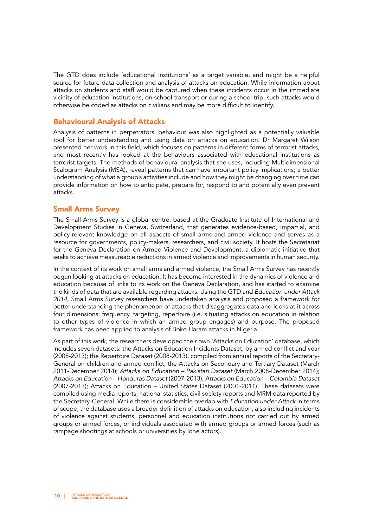The GTD does include 'educational institutions' as a target variable, and might be a helpful source for future data collection and analysis of attacks on education. While information about attacks on students and staff would be captured when these incidents occur in the immediate vicinity of education institutions, on school transport or during a school trip, such attacks would otherwise be coded as attacks on civilians and may be more difficult to identify.

#### **Behavioural Analysis of Attacks**

Analysis of patterns in perpetrators' behaviour was also highlighted as a potentially valuable tool for better understanding and using data on attacks on education. Dr Margaret Wilson presented her work in this field, which focuses on patterns in different forms of terrorist attacks, and most recently has looked at the behaviours associated with educational institutions as terrorist targets. The methods of behavioural analysis that she uses, including Multidimensional Scalogram Analysis (MSA), reveal patterns that can have important policy implications; a better understanding of what a group's activities include and how they might be changing over time can provide information on how to anticipate, prepare for, respond to and potentially even prevent .attacks

#### **Small Arms Survey**

The Small Arms Survey is a global centre, based at the Graduate Institute of International and Development Studies in Geneva, Switzerland, that generates evidence-based, impartial, and policy-relevant knowledge on all aspects of small arms and armed violence and serves as a resource for governments, policy-makers, researchers, and civil society. It hosts the Secretariat for the Geneva Declaration on Armed Violence and Development, a diplomatic initiative that seeks to achieve measureable reductions in armed violence and improvements in human security.

In the context of its work on small arms and armed violence, the Small Arms Survey has recently begun looking at attacks on education. It has become interested in the dynamics of violence and education because of links to its work on the Geneva Declaration, and has started to examine the kinds of data that are available regarding attacks. Using the GTD and Education under Attack 2014, Small Arms Survey researchers have undertaken analysis and proposed a framework for better understanding the phenomenon of attacks that disaggregates data and looks at it across four dimensions: frequency, targeting, repertoire (i.e. situating attacks on education in relation to other types of violence in which an armed group engages) and purpose. The proposed framework has been applied to analysis of Boko Haram attacks in Nigeria.

As part of this work, the researchers developed their own 'Attacks on Education' database, which includes seven datasets: the Attacks on Education Incidents Dataset, by armed conflict and year General on children and armed conflict; the Attacks on Secondary and Tertiary Dataset (March (2008-2013); the Repertoire Dataset (2008-2013), compiled from annual reports of the Secretary-2011-December 2014); Attacks on Education - Pakistan Dataset (March 2008-December 2014); Attacks on Education – Honduras Dataset (2007-2013); Attacks on Education – Colombia Dataset (2007-2013); Attacks on Education - United States Dataset (2001-2011). These datasets were compiled using media reports, national statistics, civil society reports and MRM data reported by the Secretary-General. While there is considerable overlap with Education under Attack in terms of scope, the database uses a broader definition of attacks on education, also including incidents of violence against students, personnel and education institutions not carried out by armed groups or armed forces, or individuals associated with armed groups or armed forces (such as rampage shootings at schools or universities by lone actors).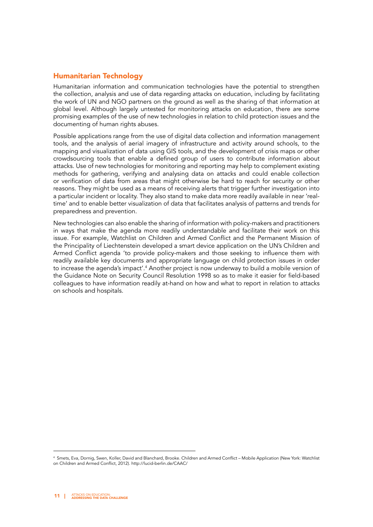### **Humanitarian Technology**

Humanitarian information and communication technologies have the potential to strengthen the collection, analysis and use of data regarding attacks on education, including by facilitating the work of UN and NGO partners on the ground as well as the sharing of that information at global level. Although largely untested for monitoring attacks on education, there are some promising examples of the use of new technologies in relation to child protection issues and the documenting of human rights abuses.

Possible applications range from the use of digital data collection and information management tools, and the analysis of aerial imagery of infrastructure and activity around schools, to the mapping and visualization of data using GIS tools, and the development of crisis maps or other crowdsourcing tools that enable a defined group of users to contribute information about attacks. Use of new technologies for monitoring and reporting may help to complement existing methods for gathering, verifying and analysing data on attacks and could enable collection or verification of data from areas that might otherwise be hard to reach for security or other reasons. They might be used as a means of receiving alerts that trigger further investigation into time' and to enable better visualization of data that facilitates analysis of patterns and trends for a particular incident or locality. They also stand to make data more readily available in near 'realpreparedness and prevention.

New technologies can also enable the sharing of information with policy-makers and practitioners in ways that make the agenda more readily understandable and facilitate their work on this issue. For example, Watchlist on Children and Armed Conflict and the Permanent Mission of the Principality of Liechtenstein developed a smart device application on the UN's Children and Armed Conflict agenda 'to provide policy-makers and those seeking to influence them with readily available key documents and appropriate language on child protection issues in order to increase the agenda's impact'.<sup>4</sup> Another project is now underway to build a mobile version of the Guidance Note on Security Council Resolution 1998 so as to make it easier for field-based colleagues to have information readily at-hand on how and what to report in relation to attacks on schools and hospitals.

 $^4\,$  Smets, Eva, Dornig, Swen, Koller, David and Blanchard, Brooke. Children and Armed Conflict – Mobile Application (New York: Watchlist on Children and Armed Conflict, 2012). http://lucid-berlin.de/CAAC/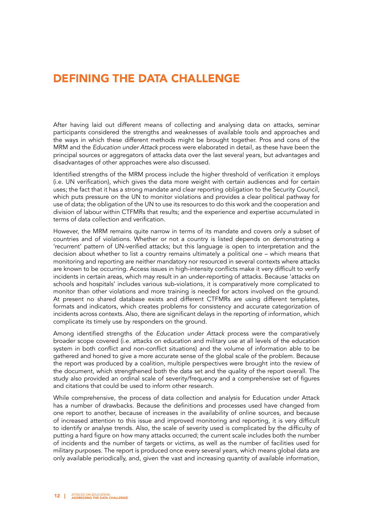## DEFINING THE DATA CHALLENGE

After having laid out different means of collecting and analysing data on attacks, seminar participants considered the strengths and weaknesses of available tools and approaches and the ways in which these different methods might be brought together. Pros and cons of the MRM and the Education under Attack process were elaborated in detail, as these have been the principal sources or aggregators of attacks data over the last several years, but advantages and disadvantages of other approaches were also discussed.

Identified strengths of the MRM process include the higher threshold of verification it employs (i.e. UN verification), which gives the data more weight with certain audiences and for certain uses; the fact that it has a strong mandate and clear reporting obligation to the Security Council, which puts pressure on the UN to monitor violations and provides a clear political pathway for use of data; the obligation of the UN to use its resources to do this work and the cooperation and division of labour within CTFMRs that results; and the experience and expertise accumulated in terms of data collection and verification.

However, the MRM remains quite narrow in terms of its mandate and covers only a subset of countries and of violations. Whether or not a country is listed depends on demonstrating a 'recurrent' pattern of UN-verified attacks; but this language is open to interpretation and the decision about whether to list a country remains ultimately a political one – which means that monitoring and reporting are neither mandatory nor resourced in several contexts where attacks are known to be occurring. Access issues in high-intensity conflicts make it very difficult to verify incidents in certain areas, which may result in an under-reporting of attacks. Because 'attacks on schools and hospitals' includes various sub-violations, it is comparatively more complicated to monitor than other violations and more training is needed for actors involved on the ground. At present no shared database exists and different CTFMRs are using different templates, formats and indicators, which creates problems for consistency and accurate categorization of incidents across contexts. Also, there are significant delays in the reporting of information, which complicate its timely use by responders on the ground.

Among identified strengths of the *Education under Attack* process were the comparatively broader scope covered (i.e. attacks on education and military use at all levels of the education system in both conflict and non-conflict situations) and the volume of information able to be gathered and honed to give a more accurate sense of the global scale of the problem. Because the report was produced by a coalition, multiple perspectives were brought into the review of the document, which strengthened both the data set and the quality of the report overall. The study also provided an ordinal scale of severity/frequency and a comprehensive set of figures and citations that could be used to inform other research.

While comprehensive, the process of data collection and analysis for Education under Attack has a number of drawbacks. Because the definitions and processes used have changed from one report to another, because of increases in the availability of online sources, and because of increased attention to this issue and improved monitoring and reporting, it is very difficult to identify or analyse trends. Also, the scale of severity used is complicated by the difficulty of putting a hard figure on how many attacks occurred; the current scale includes both the number of incidents and the number of targets or victims, as well as the number of facilities used for military purposes. The report is produced once every several years, which means global data are only available periodically, and, given the vast and increasing quantity of available information,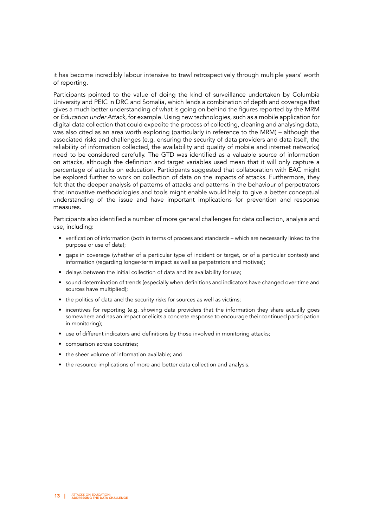it has become incredibly labour intensive to trawl retrospectively through multiple years' worth of reporting.

Participants pointed to the value of doing the kind of surveillance undertaken by Columbia University and PEIC in DRC and Somalia, which lends a combination of depth and coverage that gives a much better understanding of what is going on behind the figures reported by the MRM or Education under Attack, for example. Using new technologies, such as a mobile application for digital data collection that could expedite the process of collecting, cleaning and analysing data, was also cited as an area worth exploring (particularly in reference to the MRM) – although the associated risks and challenges (e.g. ensuring the security of data providers and data itself, the reliability of information collected, the availability and quality of mobile and internet networks) need to be considered carefully. The GTD was identified as a valuable source of information on attacks, although the definition and target variables used mean that it will only capture a percentage of attacks on education. Participants suggested that collaboration with EAC might be explored further to work on collection of data on the impacts of attacks. Furthermore, they felt that the deeper analysis of patterns of attacks and patterns in the behaviour of perpetrators that innovative methodologies and tools might enable would help to give a better conceptual understanding of the issue and have important implications for prevention and response measures.

Participants also identified a number of more general challenges for data collection, analysis and use, including:

- verification of information (both in terms of process and standards which are necessarily linked to the purpose or use of data);
- gaps in coverage (whether of a particular type of incident or target, or of a particular context) and information (regarding longer-term impact as well as perpetrators and motives);
- delays between the initial collection of data and its availability for use;
- sound determination of trends (especially when definitions and indicators have changed over time and sources have multiplied);
- the politics of data and the security risks for sources as well as victims;
- incentives for reporting (e.g. showing data providers that the information they share actually goes somewhere and has an impact or elicits a concrete response to encourage their continued participation in monitoring):
- use of different indicators and definitions by those involved in monitoring attacks:
- comparison across countries;
- the sheer volume of information available: and
- the resource implications of more and better data collection and analysis.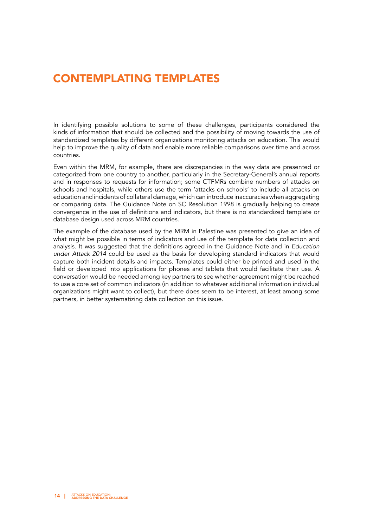# **CONTEMPLATING TEMPLATES**

In identifying possible solutions to some of these challenges, participants considered the kinds of information that should be collected and the possibility of moving towards the use of standardized templates by different organizations monitoring attacks on education. This would help to improve the quality of data and enable more reliable comparisons over time and across .countries

Even within the MRM, for example, there are discrepancies in the way data are presented or categorized from one country to another, particularly in the Secretary General's annual reports and in responses to requests for information; some CTFMRs combine numbers of attacks on schools and hospitals, while others use the term 'attacks on schools' to include all attacks on education and incidents of collateral damage, which can introduce inaccuracies when aggregating or comparing data. The Guidance Note on SC Resolution 1998 is gradually helping to create convergence in the use of definitions and indicators, but there is no standardized template or database design used across MRM countries.

The example of the database used by the MRM in Palestine was presented to give an idea of what might be possible in terms of indicators and use of the template for data collection and analysis. It was suggested that the definitions agreed in the Guidance Note and in Education under Attack 2014 could be used as the basis for developing standard indicators that would capture both incident details and impacts. Templates could either be printed and used in the field or developed into applications for phones and tablets that would facilitate their use. A conversation would be needed among key partners to see whether agreement might be reached to use a core set of common indicators (in addition to whatever additional information individual organizations might want to collect), but there does seem to be interest, at least among some partners, in better systematizing data collection on this issue.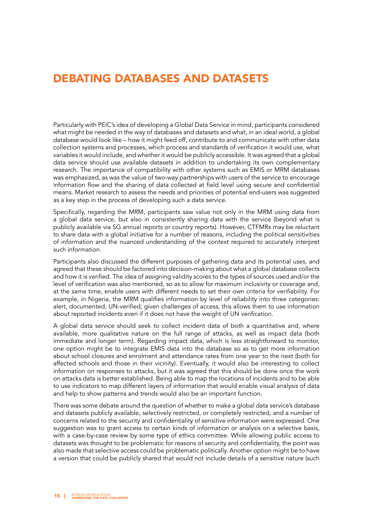# DEBATING DATABASES AND DATASETS

Particularly with PEIC's idea of developing a Global Data Service in mind, participants considered what might be needed in the way of databases and datasets and what, in an ideal world, a global database would look like – how it might feed off, contribute to and communicate with other data collection systems and processes, which process and standards of verification it would use, what variables it would include, and whether it would be publicly accessible. It was agreed that a global data service should use available datasets in addition to undertaking its own complementary research. The importance of compatibility with other systems such as EMIS or MRM databases was emphasized, as was the value of two-way partnerships with users of the service to encourage information flow and the sharing of data collected at field level using secure and confidential means. Market research to assess the needs and priorities of potential end-users was suggested as a key step in the process of developing such a data service.

Specifically, regarding the MRM, participants saw value not only in the MRM using data from a global data service, but also in consistently sharing data with the service (beyond what is publicly available via SG annual reports or country reports). However, CTFMRs may be reluctant to share data with a global initiative for a number of reasons, including the political sensitivities of information and the nuanced understanding of the context required to accurately interpret such information.

Participants also discussed the different purposes of gathering data and its potential uses, and agreed that these should be factored into decision-making about what a global database collects and how it is verified. The idea of assigning validity scores to the types of sources used and/or the level of verification was also mentioned, so as to allow for maximum inclusivity or coverage and, at the same time, enable users with different needs to set their own criteria for verifiability. For example, in Nigeria, the MRM qualifies information by level of reliability into three categories: alert, documented, UN-verified; given challenges of access, this allows them to use information about reported incidents even if it does not have the weight of UN verification.

A global data service should seek to collect incident data of both a quantitative and, where available, more qualitative nature on the full range of attacks, as well as impact data (both immediate and longer term). Regarding impact data, which is less straightforward to monitor, one option might be to integrate EMIS data into the database so as to get more information about school closures and enrolment and attendance rates from one year to the next (both for affected schools and those in their vicinity). Eventually, it would also be interesting to collect information on responses to attacks, but it was agreed that this should be done once the work on attacks data is better established. Being able to map the locations of incidents and to be able to use indicators to map different layers of information that would enable visual analysis of data and help to show patterns and trends would also be an important function.

There was some debate around the question of whether to make a global data service's database and datasets publicly available, selectively restricted, or completely restricted, and a number of concerns related to the security and confidentiality of sensitive information were expressed. One suggestion was to grant access to certain kinds of information or analysis on a selective basis, with a case-by-case review by some type of ethics committee. While allowing public access to datasets was thought to be problematic for reasons of security and confidentiality, the point was also made that selective access could be problematic politically. Another option might be to have a version that could be publicly shared that would not include details of a sensitive nature (such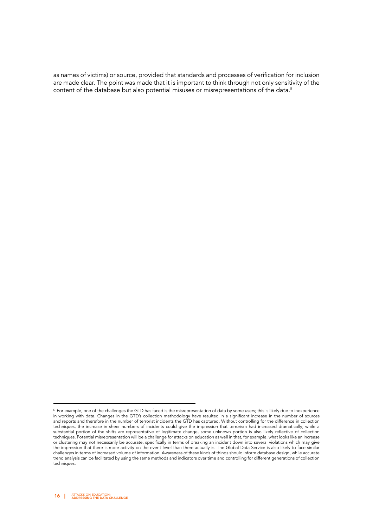as names of victims) or source, provided that standards and processes of verification for inclusion are made clear. The point was made that it is important to think through not only sensitivity of the content of the database but also potential misuses or misrepresentations of the data.<sup>5</sup>

<sup>&</sup>lt;sup>5</sup> For example, one of the challenges the GTD has faced is the misrepresentation of data by some users; this is likely due to inexperience in working with data. Changes in the GTD's collection methodology have resulted in a significant increase in the number of sources and reports and therefore in the number of terrorist incidents the GTD has captured. Without controlling for the difference in collection techniques, the increase in sheer numbers of incidents could give the impression that terrorism had increased dramatically; while a substantial portion of the shifts are representative of legitimate change, some unknown portion is also likely reflective of collection techniques. Potential misrepresentation will be a challenge for attacks on education as well in that, for example, what looks like an increase or clustering may not necessarily be accurate, specifically in terms of breaking an incident down into several violations which may give the impression that there is more activity on the event level than there actually is. The Global Data Service is also likely to face similar challenges in terms of increased volume of information. Awareness of these kinds of things should inform database design, while accurate trend analysis can be facilitated by using the same methods and indicators over time and controlling for different generations of collection techniques.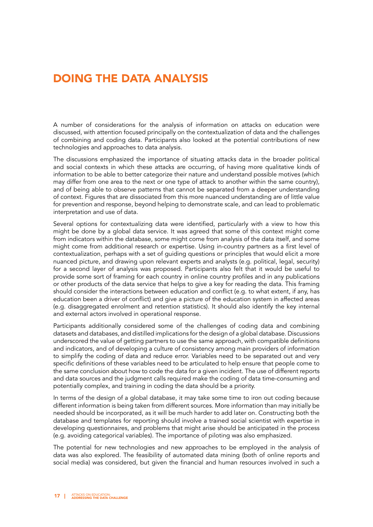## **DOING THE DATA ANALYSIS**

A number of considerations for the analysis of information on attacks on education were discussed, with attention focused principally on the contextualization of data and the challenges of combining and coding data. Participants also looked at the potential contributions of new technologies and approaches to data analysis.

The discussions emphasized the importance of situating attacks data in the broader political and social contexts in which these attacks are occurring, of having more qualitative kinds of information to be able to better categorize their nature and understand possible motives (which may differ from one area to the next or one type of attack to another within the same country). and of being able to observe patterns that cannot be separated from a deeper understanding of context. Figures that are dissociated from this more nuanced understanding are of little value for prevention and response, beyond helping to demonstrate scale, and can lead to problematic interpretation and use of data.

Several options for contextualizing data were identified, particularly with a view to how this might be done by a global data service. It was agreed that some of this context might come from indicators within the database, some might come from analysis of the data itself, and some might come from additional research or expertise. Using in-country partners as a first level of contextualization, perhaps with a set of guiding questions or principles that would elicit a more nuanced picture, and drawing upon relevant experts and analysts (e.g. political, legal, security) for a second layer of analysis was proposed. Participants also felt that it would be useful to provide some sort of framing for each country in online country profiles and in any publications or other products of the data service that helps to give a key for reading the data. This framing should consider the interactions between education and conflict (e.g. to what extent, if any, has education been a driver of conflict) and give a picture of the education system in affected areas (e.g. disaggregated enrolment and retention statistics). It should also identify the key internal and external actors involved in operational response.

Participants additionally considered some of the challenges of coding data and combining datasets and databases, and distilled implications for the design of a global database. Discussions underscored the value of getting partners to use the same approach, with compatible definitions and indicators, and of developing a culture of consistency among main providers of information to simplify the coding of data and reduce error. Variables need to be separated out and very specific definitions of these variables need to be articulated to help ensure that people come to the same conclusion about how to code the data for a given incident. The use of different reports and data sources and the judgment calls required make the coding of data time-consuming and potentially complex, and training in coding the data should be a priority.

In terms of the design of a global database, it may take some time to iron out coding because different information is being taken from different sources. More information than may initially be needed should be incorporated, as it will be much harder to add later on. Constructing both the database and templates for reporting should involve a trained social scientist with expertise in developing questionnaires, and problems that might arise should be anticipated in the process (e.g. avoiding categorical variables). The importance of piloting was also emphasized.

The potential for new technologies and new approaches to be employed in the analysis of data was also explored. The feasibility of automated data mining (both of online reports and social media) was considered, but given the financial and human resources involved in such a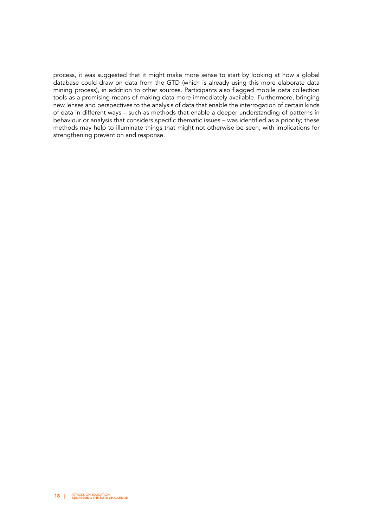process, it was suggested that it might make more sense to start by looking at how a global database could draw on data from the GTD (which is already using this more elaborate data mining process), in addition to other sources. Participants also flagged mobile data collection tools as a promising means of making data more immediately available. Furthermore, bringing new lenses and perspectives to the analysis of data that enable the interrogation of certain kinds of data in different ways – such as methods that enable a deeper understanding of patterns in behaviour or analysis that considers specific thematic issues – was identified as a priority; these methods may help to illuminate things that might not otherwise be seen, with implications for strengthening prevention and response.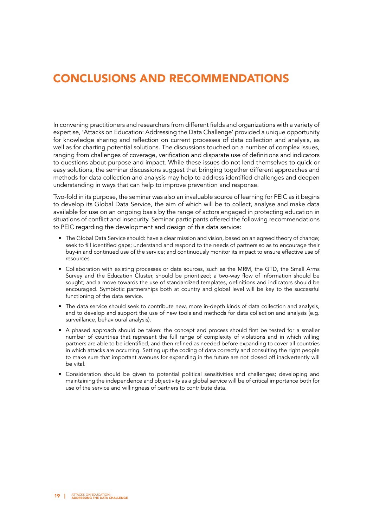# **CONCLUSIONS AND RECOMMENDATIONS**

In convening practitioners and researchers from different fields and organizations with a variety of expertise, 'Attacks on Education: Addressing the Data Challenge' provided a unique opportunity for knowledge sharing and reflection on current processes of data collection and analysis, as well as for charting potential solutions. The discussions touched on a number of complex issues, ranging from challenges of coverage, verification and disparate use of definitions and indicators to questions about purpose and impact. While these issues do not lend themselves to quick or easy solutions, the seminar discussions suggest that bringing together different approaches and methods for data collection and analysis may help to address identified challenges and deepen understanding in ways that can help to improve prevention and response.

Two-fold in its purpose, the seminar was also an invaluable source of learning for PEIC as it begins to develop its Global Data Service, the aim of which will be to collect, analyse and make data available for use on an ongoing basis by the range of actors engaged in protecting education in situations of conflict and insecurity. Seminar participants offered the following recommendations to PEIC regarding the development and design of this data service:

- The Global Data Service should: have a clear mission and vision, based on an agreed theory of change; seek to fill identified gaps; understand and respond to the needs of partners so as to encourage their buy-in and continued use of the service; and continuously monitor its impact to ensure effective use of .resources
- Collaboration with existing processes or data sources, such as the MRM, the GTD, the Small Arms Survey and the Education Cluster, should be prioritized; a two-way flow of information should be sought; and a move towards the use of standardized templates, definitions and indicators should be encouraged. Symbiotic partnerships both at country and global level will be key to the successful functioning of the data service.
- The data service should seek to contribute new, more in-depth kinds of data collection and analysis, and to develop and support the use of new tools and methods for data collection and analysis (e.g. surveillance, behavioural analysis).
- A phased approach should be taken: the concept and process should first be tested for a smaller number of countries that represent the full range of complexity of violations and in which willing partners are able to be identified, and then refined as needed before expanding to cover all countries in which attacks are occurring. Setting up the coding of data correctly and consulting the right people to make sure that important avenues for expanding in the future are not closed off inadvertently will be vital.
- Consideration should be given to potential political sensitivities and challenges; developing and maintaining the independence and objectivity as a global service will be of critical importance both for use of the service and willingness of partners to contribute data.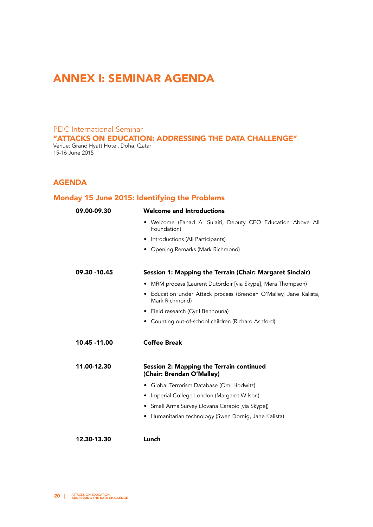# ANNEX I: SEMINAR AGENDA

#### **PEIC International Seminar**

"ATTACKS ON EDUCATION: ADDRESSING THE DATA CHALLENGE"

Venue: Grand Hyatt Hotel, Doha, Qatar 15-16 June 2015

### AGENDA

### Monday 15 June 2015: Identifying the Problems

| 09.00-09.30   | <b>Welcome and Introductions</b>                                                    |
|---------------|-------------------------------------------------------------------------------------|
|               | • Welcome (Fahad Al Sulaiti, Deputy CEO Education Above All<br>Foundation)          |
|               | • Introductions (All Participants)                                                  |
|               | • Opening Remarks (Mark Richmond)                                                   |
| 09.30 -10.45  | Session 1: Mapping the Terrain (Chair: Margaret Sinclair)                           |
|               | • MRM process (Laurent Dutordoir [via Skype], Mera Thompson)                        |
|               | • Education under Attack process (Brendan O'Malley, Jane Kalista,<br>Mark Richmond) |
|               | · Field research (Cyril Bennouna)                                                   |
|               | • Counting out-of-school children (Richard Ashford)                                 |
| 10.45 - 11.00 | <b>Coffee Break</b>                                                                 |
| 11.00-12.30   | Session 2: Mapping the Terrain continued<br>(Chair: Brendan O'Malley)               |
|               | · Global Terrorism Database (Omi Hodwitz)                                           |
|               | • Imperial College London (Margaret Wilson)                                         |
|               | • Small Arms Survey (Jovana Carapic [via Skype])                                    |
|               | • Humanitarian technology (Swen Dornig, Jane Kalista)                               |
| 12.30-13.30   | Lunch                                                                               |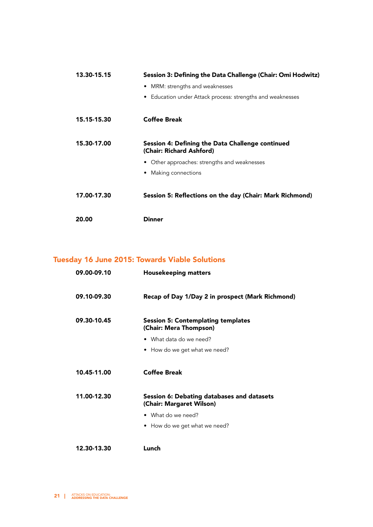| 13.30-15.15 | Session 3: Defining the Data Challenge (Chair: Omi Hodwitz)                  |
|-------------|------------------------------------------------------------------------------|
|             | • MRM: strengths and weaknesses                                              |
|             | • Education under Attack process: strengths and weaknesses                   |
| 15.15-15.30 | <b>Coffee Break</b>                                                          |
| 15.30-17.00 | Session 4: Defining the Data Challenge continued<br>(Chair: Richard Ashford) |
|             | • Other approaches: strengths and weaknesses                                 |
|             | Making connections                                                           |
| 17.00-17.30 | Session 5: Reflections on the day (Chair: Mark Richmond)                     |
| 20.00       | <b>Dinner</b>                                                                |

### Tuesday 16 June 2015: Towards Viable Solutions

| 09.00-09.10 | <b>Housekeeping matters</b>                                            |
|-------------|------------------------------------------------------------------------|
| 09.10-09.30 | Recap of Day 1/Day 2 in prospect (Mark Richmond)                       |
| 09.30-10.45 | <b>Session 5: Contemplating templates</b><br>(Chair: Mera Thompson)    |
|             | • What data do we need?                                                |
|             | • How do we get what we need?                                          |
| 10.45-11.00 | Coffee Break                                                           |
| 11.00-12.30 | Session 6: Debating databases and datasets<br>(Chair: Margaret Wilson) |
|             | • What do we need?                                                     |
|             | • How do we get what we need?                                          |
| 12.30-13.30 | Lunch                                                                  |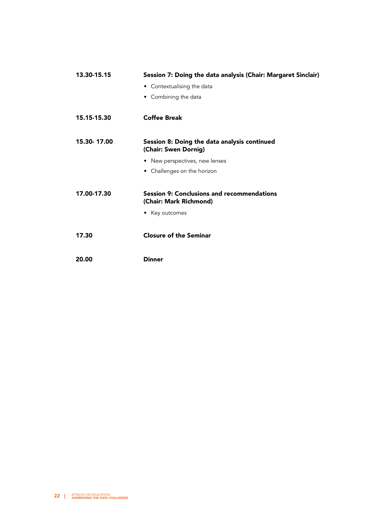| 13.30-15.15 | Session 7: Doing the data analysis (Chair: Margaret Sinclair)               |
|-------------|-----------------------------------------------------------------------------|
|             | • Contextualising the data                                                  |
|             | • Combining the data                                                        |
| 15.15-15.30 | <b>Coffee Break</b>                                                         |
| 15.30-17.00 | Session 8: Doing the data analysis continued<br>(Chair: Swen Dornig)        |
|             | • New perspectives, new lenses                                              |
|             | • Challenges on the horizon                                                 |
| 17.00-17.30 | <b>Session 9: Conclusions and recommendations</b><br>(Chair: Mark Richmond) |
|             | • Key outcomes                                                              |
| 17.30       | <b>Closure of the Seminar</b>                                               |
| 20.00       | <b>Dinner</b>                                                               |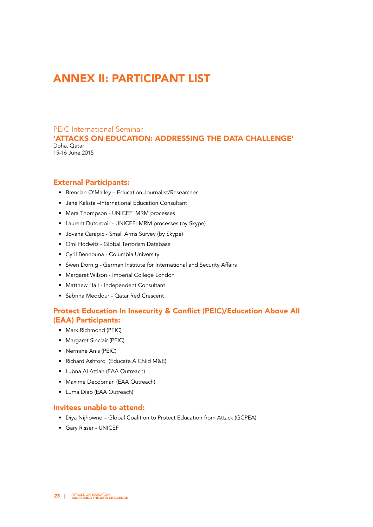### **ANNEX II: PARTICIPANT LIST**

#### PEIC International Seminar 'ATTACKS ON EDUCATION: ADDRESSING THE DATA CHALLENGE' Doha, Qatar 15-16 June 2015

#### **External Participants:**

- Brendan O'Malley Education Journalist/Researcher
- Jane Kalista –International Education Consultant
- Mera Thompson UNICEF: MRM processes
- Laurent Dutordoir UNICEF: MRM processes (by Skype)
- Jovana Carapic Small Arms Survey (by Skype)
- Omi Hodwitz Global Terrorism Database
- Cyril Bennouna Columbia University
- Swen Dornig German Institute for International and Security Affairs
- Margaret Wilson Imperial College London
- Matthew Hall Independent Consultant
- Sabrina Meddour Qatar Red Crescent

### Protect Education In Insecurity & Conflict (PEIC)/Education Above All (EAA) Participants:

- Mark Richmond (PEIC)
- Margaret Sinclair (PEIC)
- Nermine Anis (PEIC)
- Richard Ashford (Educate A Child M&E)
- Lubna Al Attiah (EAA Outreach)
- Maxime Decooman (EAA Outreach)
- Luma Diab (EAA Outreach)

#### Invitees unable to attend:

- Diya Nijhowne Global Coalition to Protect Education from Attack (GCPEA)
- Gary Risser UNICEF